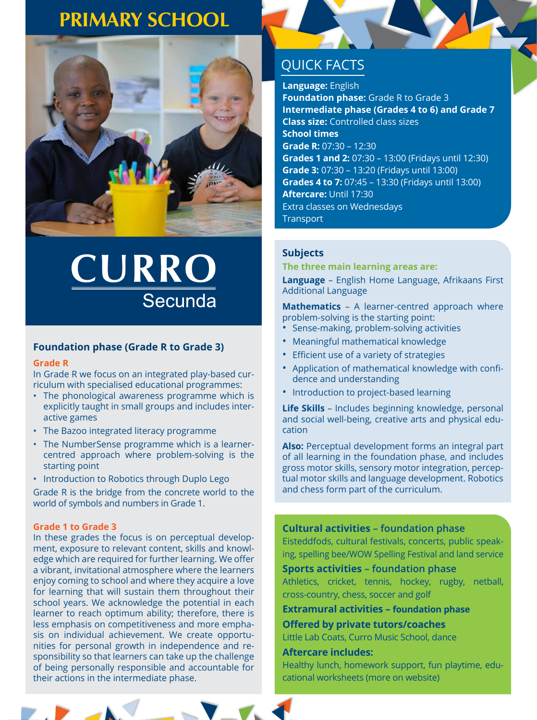### **PRIMARY SCHOOL**



# CURRO Secunda

### **Foundation phase (Grade R to Grade 3)**

### **Grade R**

In Grade R we focus on an integrated play-based curriculum with specialised educational programmes:

- The phonological awareness programme which is explicitly taught in small groups and includes interactive games
- The Bazoo integrated literacy programme
- The NumberSense programme which is a learnercentred approach where problem-solving is the starting point
- Introduction to Robotics through Duplo Lego

Grade R is the bridge from the concrete world to the world of symbols and numbers in Grade 1.

### **Grade 1 to Grade 3**

In these grades the focus is on perceptual development, exposure to relevant content, skills and knowledge which are required for further learning. We offer a vibrant, invitational atmosphere where the learners enjoy coming to school and where they acquire a love for learning that will sustain them throughout their school years. We acknowledge the potential in each learner to reach optimum ability; therefore, there is less emphasis on competitiveness and more emphasis on individual achievement. We create opportunities for personal growth in independence and responsibility so that learners can take up the challenge of being personally responsible and accountable for their actions in the intermediate phase.

### QUICK FACTS

**Language:** English

**Foundation phase:** Grade R to Grade 3 **Intermediate phase (Grades 4 to 6) and Grade 7 Class size:** Controlled class sizes **School times Grade R:** 07:30 – 12:30 **Grades 1 and 2:** 07:30 – 13:00 (Fridays until 12:30) **Grade 3:** 07:30 – 13:20 (Fridays until 13:00) **Grades 4 to 7:** 07:45 – 13:30 (Fridays until 13:00) **Aftercare:** Until 17:30 Extra classes on Wednesdays **Transport** 

### **Subjects**

**The three main learning areas are:** 

**Language** – English Home Language, Afrikaans First Additional Language

**Mathematics** – A learner-centred approach where problem-solving is the starting point:

- Sense-making, problem-solving activities
- Meaningful mathematical knowledge
- Efficient use of a variety of strategies
- Application of mathematical knowledge with confidence and understanding
- Introduction to project-based learning

**Life Skills** – Includes beginning knowledge, personal and social well-being, creative arts and physical education

**Also:** Perceptual development forms an integral part of all learning in the foundation phase, and includes gross motor skills, sensory motor integration, perceptual motor skills and language development. Robotics and chess form part of the curriculum.

### **Cultural activities – foundation phase**

Eisteddfods, cultural festivals, concerts, public speaking, spelling bee/WOW Spelling Festival and land service

**Sports activities – foundation phase** Athletics, cricket, tennis, hockey, rugby, netball, cross-country, chess, soccer and golf

**Extramural activities – foundation phase**

**Offered by private tutors/coaches**

Little Lab Coats, Curro Music School, dance

### **Aftercare includes:**

Healthy lunch, homework support, fun playtime, educational worksheets (more on website)